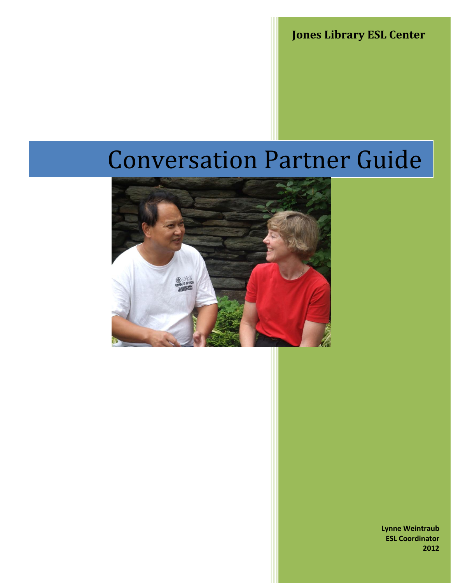**Jones Library ESL Center**

# Conversation Partner Guide



**Lynne Weintraub ESL Coordinator 2012**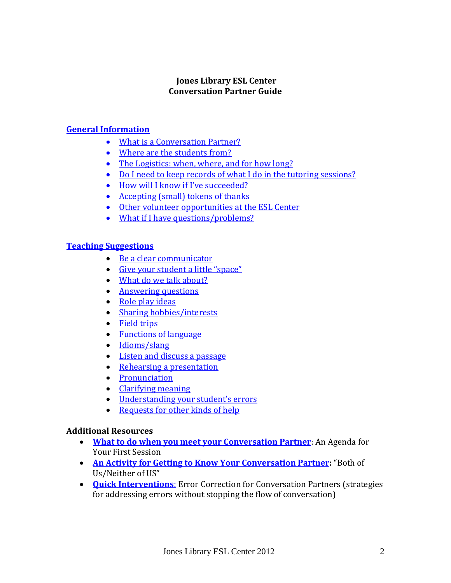# **Jones Library ESL Center Conversation Partner Guide**

# **[General Information](#page-2-0)**

- [What is a Conversation Partner?](#page-2-1)
- [Where are the students from?](#page-3-0)
- The [Logistics: when, where, and for how long?](#page-3-1)
- [Do I need to keep records of what I do in the tutoring sessions?](#page-3-2)
- [How will I know if I've succeeded?](#page-3-3)
- [Accepting \(small\) tokens of thanks](#page-3-4)
- [Other volunteer opportunities at the ESL Center](#page-4-0)
- [What if I have questions/problems?](#page-4-1)

# **[Teaching Suggestions](#page-5-0)**

- [Be a clear communicator](#page-5-1)
- [Give your student a little "space"](#page-5-2)
- [What do we talk about?](#page-5-3)
- [Answering questions](#page-7-0)
- [Role play ideas](#page-7-1)
- [Sharing hobbies/interests](#page-8-0)
- [Field trips](#page-8-0)
- [Functions of language](#page-9-0)
- [Idioms/slang](#page-9-1)
- [Listen and discuss a passage](#page-9-2)
- Rehearsing [a presentation](#page-9-3)
- [Pronunciation](#page-10-0)
- [Clarifying meaning](#page-11-0)
- [Understanding your student's errors](#page-11-1)
- [Requests for other kinds of help](#page-11-2)

# **Additional Resources**

- **[What to do when you meet your Conversation Partner](#page-13-0)**: An Agenda for Your First Session
- **[An Activity for Getting to Know Your Conversation Partner:](#page-15-0)** "Both of Us/Neither of US"
- **[Quick Interventions](#page-16-0)**: Error Correction for Conversation Partners (strategies for addressing errors without stopping the flow of conversation)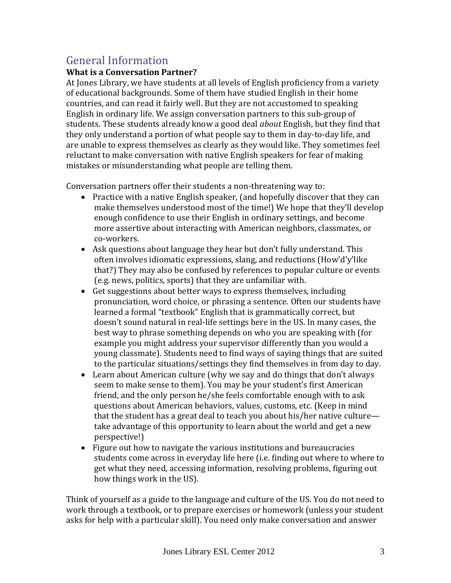# <span id="page-2-0"></span>General Information

# <span id="page-2-1"></span>**What is a Conversation Partner?**

At Jones Library, we have students at all levels of English proficiency from a variety of educational backgrounds. Some of them have studied English in their home countries, and can read it fairly well. But they are not accustomed to speaking English in ordinary life. We assign conversation partners to this sub-group of students. These students already know a good deal *about* English, but they find that they only understand a portion of what people say to them in day-to-day life, and are unable to express themselves as clearly as they would like. They sometimes feel reluctant to make conversation with native English speakers for fear of making mistakes or misunderstanding what people are telling them.

Conversation partners offer their students a non-threatening way to:

- Practice with a native English speaker, (and hopefully discover that they can make themselves understood most of the time!) We hope that they'll develop enough confidence to use their English in ordinary settings, and become more assertive about interacting with American neighbors, classmates, or co-workers.
- Ask questions about language they hear but don't fully understand. This often involves idiomatic expressions, slang, and reductions (How'd'y'like that?) They may also be confused by references to popular culture or events (e.g. news, politics, sports) that they are unfamiliar with.
- Get suggestions about better ways to express themselves, including pronunciation, word choice, or phrasing a sentence. Often our students have learned a formal "textbook" English that is grammatically correct, but doesn't sound natural in real-life settings here in the US. In many cases, the best way to phrase something depends on who you are speaking with (for example you might address your supervisor differently than you would a young classmate). Students need to find ways of saying things that are suited to the particular situations/settings they find themselves in from day to day.
- Learn about American culture (why we say and do things that don't always seem to make sense to them). You may be your student's first American friend, and the only person he/she feels comfortable enough with to ask questions about American behaviors, values, customs, etc. (Keep in mind that the student has a great deal to teach you about his/her native culture take advantage of this opportunity to learn about the world and get a new perspective!)
- Figure out how to navigate the various institutions and bureaucracies students come across in everyday life here (i.e. finding out where to where to get what they need, accessing information, resolving problems, figuring out how things work in the US).

Think of yourself as a guide to the language and culture of the US. You do not need to work through a textbook, or to prepare exercises or homework (unless your student asks for help with a particular skill). You need only make conversation and answer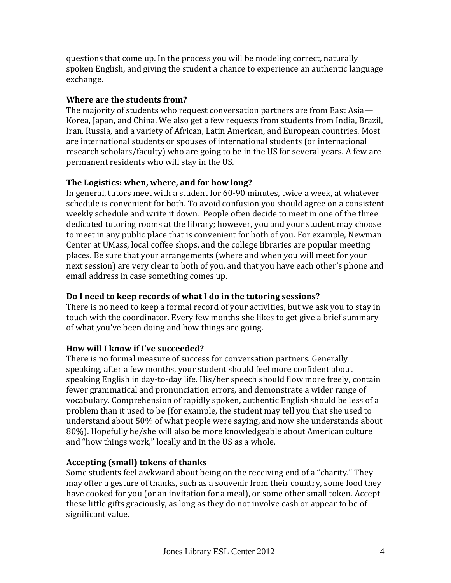questions that come up. In the process you will be modeling correct, naturally spoken English, and giving the student a chance to experience an authentic language exchange.

# <span id="page-3-0"></span>**Where are the students from?**

The majority of students who request conversation partners are from East Asia— Korea, Japan, and China. We also get a few requests from students from India, Brazil, Iran, Russia, and a variety of African, Latin American, and European countries. Most are international students or spouses of international students (or international research scholars/faculty) who are going to be in the US for several years. A few are permanent residents who will stay in the US.

# <span id="page-3-1"></span>**The Logistics: when, where, and for how long?**

In general, tutors meet with a student for 60-90 minutes, twice a week, at whatever schedule is convenient for both. To avoid confusion you should agree on a consistent weekly schedule and write it down. People often decide to meet in one of the three dedicated tutoring rooms at the library; however, you and your student may choose to meet in any public place that is convenient for both of you. For example, Newman Center at UMass, local coffee shops, and the college libraries are popular meeting places. Be sure that your arrangements (where and when you will meet for your next session) are very clear to both of you, and that you have each other's phone and email address in case something comes up.

# <span id="page-3-2"></span>**Do I need to keep records of what I do in the tutoring sessions?**

There is no need to keep a formal record of your activities, but we ask you to stay in touch with the coordinator. Every few months she likes to get give a brief summary of what you've been doing and how things are going.

# <span id="page-3-3"></span>**How will I know if I've succeeded?**

There is no formal measure of success for conversation partners. Generally speaking, after a few months, your student should feel more confident about speaking English in day-to-day life. His/her speech should flow more freely, contain fewer grammatical and pronunciation errors, and demonstrate a wider range of vocabulary. Comprehension of rapidly spoken, authentic English should be less of a problem than it used to be (for example, the student may tell you that she used to understand about 50% of what people were saying, and now she understands about 80%). Hopefully he/she will also be more knowledgeable about American culture and "how things work," locally and in the US as a whole.

# <span id="page-3-4"></span>**Accepting (small) tokens of thanks**

Some students feel awkward about being on the receiving end of a "charity." They may offer a gesture of thanks, such as a souvenir from their country, some food they have cooked for you (or an invitation for a meal), or some other small token. Accept these little gifts graciously, as long as they do not involve cash or appear to be of significant value.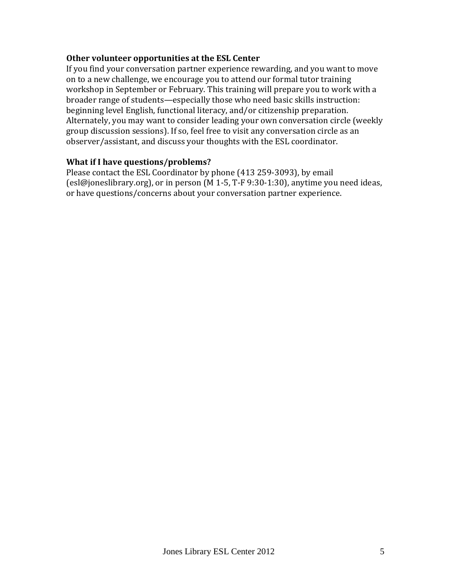# <span id="page-4-0"></span>**Other volunteer opportunities at the ESL Center**

If you find your conversation partner experience rewarding, and you want to move on to a new challenge, we encourage you to attend our formal tutor training workshop in September or February. This training will prepare you to work with a broader range of students—especially those who need basic skills instruction: beginning level English, functional literacy, and/or citizenship preparation. Alternately, you may want to consider leading your own conversation circle (weekly group discussion sessions). If so, feel free to visit any conversation circle as an observer/assistant, and discuss your thoughts with the ESL coordinator.

# <span id="page-4-1"></span>**What if I have questions/problems?**

Please contact the ESL Coordinator by phone (413 259-3093), by email (esl@joneslibrary.org), or in person (M 1-5, T-F 9:30-1:30), anytime you need ideas, or have questions/concerns about your conversation partner experience.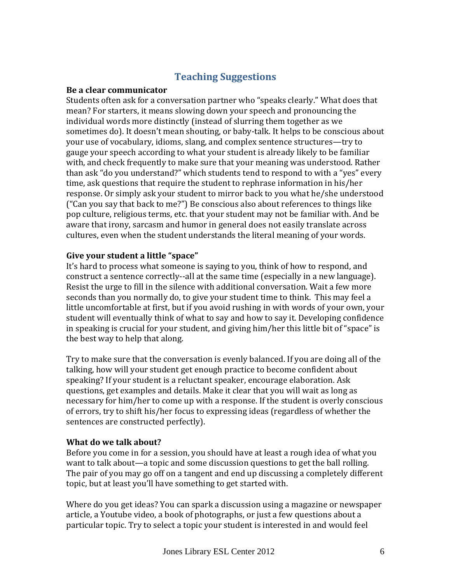# **Teaching Suggestions**

#### <span id="page-5-1"></span><span id="page-5-0"></span>**Be a clear communicator**

Students often ask for a conversation partner who "speaks clearly." What does that mean? For starters, it means slowing down your speech and pronouncing the individual words more distinctly (instead of slurring them together as we sometimes do). It doesn't mean shouting, or baby-talk. It helps to be conscious about your use of vocabulary, idioms, slang, and complex sentence structures—try to gauge your speech according to what your student is already likely to be familiar with, and check frequently to make sure that your meaning was understood. Rather than ask "do you understand?" which students tend to respond to with a "yes" every time, ask questions that require the student to rephrase information in his/her response. Or simply ask your student to mirror back to you what he/she understood ("Can you say that back to me?") Be conscious also about references to things like pop culture, religious terms, etc. that your student may not be familiar with. And be aware that irony, sarcasm and humor in general does not easily translate across cultures, even when the student understands the literal meaning of your words.

# <span id="page-5-2"></span>**Give your student a little "space"**

It's hard to process what someone is saying to you, think of how to respond, and construct a sentence correctly--all at the same time (especially in a new language). Resist the urge to fill in the silence with additional conversation. Wait a few more seconds than you normally do, to give your student time to think. This may feel a little uncomfortable at first, but if you avoid rushing in with words of your own, your student will eventually think of what to say and how to say it. Developing confidence in speaking is crucial for your student, and giving him/her this little bit of "space" is the best way to help that along.

Try to make sure that the conversation is evenly balanced. If you are doing all of the talking, how will your student get enough practice to become confident about speaking? If your student is a reluctant speaker, encourage elaboration. Ask questions, get examples and details. Make it clear that you will wait as long as necessary for him/her to come up with a response. If the student is overly conscious of errors, try to shift his/her focus to expressing ideas (regardless of whether the sentences are constructed perfectly).

# <span id="page-5-3"></span>**What do we talk about?**

Before you come in for a session, you should have at least a rough idea of what you want to talk about—a topic and some discussion questions to get the ball rolling. The pair of you may go off on a tangent and end up discussing a completely different topic, but at least you'll have something to get started with.

Where do you get ideas? You can spark a discussion using a magazine or newspaper article, a Youtube video, a book of photographs, or just a few questions about a particular topic. Try to select a topic your student is interested in and would feel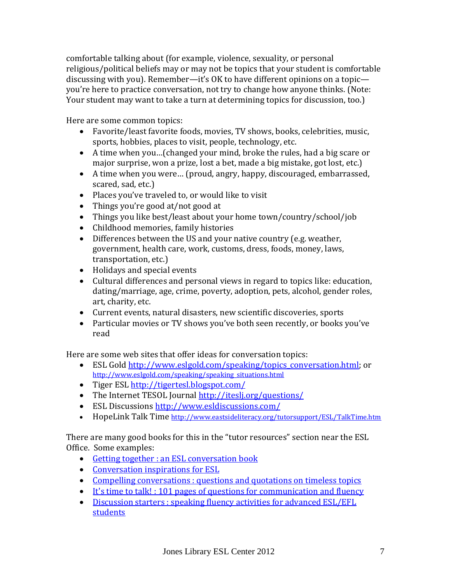comfortable talking about (for example, violence, sexuality, or personal religious/political beliefs may or may not be topics that your student is comfortable discussing with you). Remember—it's OK to have different opinions on a topic you're here to practice conversation, not try to change how anyone thinks. (Note: Your student may want to take a turn at determining topics for discussion, too.)

Here are some common topics:

- Favorite/least favorite foods, movies, TV shows, books, celebrities, music, sports, hobbies, places to visit, people, technology, etc.
- A time when you…(changed your mind, broke the rules, had a big scare or major surprise, won a prize, lost a bet, made a big mistake, got lost, etc.)
- A time when you were… (proud, angry, happy, discouraged, embarrassed, scared, sad, etc.)
- Places you've traveled to, or would like to visit
- Things you're good at/not good at
- Things you like best/least about your home town/country/school/job
- Childhood memories, family histories
- Differences between the US and your native country (e.g. weather, government, health care, work, customs, dress, foods, money, laws, transportation, etc.)
- Holidays and special events
- Cultural differences and personal views in regard to topics like: education, dating/marriage, age, crime, poverty, adoption, pets, alcohol, gender roles, art, charity, etc.
- Current events, natural disasters, new scientific discoveries, sports
- Particular movies or TV shows you've both seen recently, or books you've read

Here are some web sites that offer ideas for conversation topics:

- ESL Gold [http://www.eslgold.com/speaking/topics\\_conversation.html;](http://www.eslgold.com/speaking/topics_conversation.html) or [http://www.eslgold.com/speaking/speaking\\_situations.html](http://www.eslgold.com/speaking/speaking_situations.html)
- Tiger ESL<http://tigertesl.blogspot.com/>
- The Internet TESOL Journal<http://iteslj.org/questions/>
- ESL Discussions<http://www.esldiscussions.com/>
- HopeLink Talk Time <http://www.eastsideliteracy.org/tutorsupport/ESL/TalkTime.htm>

There are many good books for this in the "tutor resources" section near the ESL Office. Some examples:

- [Getting together : an ESL conversation book](http://wmars.cwmars.org/search~S4?/Yesl+conversation&searchscope=4&SORT=D/Yesl+conversation&searchscope=4&SORT=D&SUBKEY=esl%20conversation/1%2C12%2C12%2CB/frameset&FF=Yesl+conversation&searchscope=4&SORT=D&1%2C1%2C)
- [Conversation inspirations for ESL](http://wmars.cwmars.org/search~S4?/Yesl+conversation&searchscope=4&SORT=D/Yesl+conversation&searchscope=4&SORT=D&SUBKEY=esl%20conversation/1%2C12%2C12%2CB/frameset&FF=Yesl+conversation&searchscope=4&SORT=D&4%2C4%2C)
- [Compelling conversations : questions and quotations on timeless topics](http://wmars.cwmars.org/search~S4?/Yesl+conversation&searchscope=4&SORT=D/Yesl+conversation&searchscope=4&SORT=D&SUBKEY=esl%20conversation/1%2C12%2C12%2CB/frameset&FF=Yesl+conversation&searchscope=4&SORT=D&5%2C5%2C)
- [It's time to talk! : 101 pages of questions for communication and fluency](http://wmars.cwmars.org/search~S4?/Yesl+conversation&searchscope=4&SORT=D/Yesl+conversation&searchscope=4&SORT=D&SUBKEY=esl%20conversation/1%2C12%2C12%2CB/frameset&FF=Yesl+conversation&searchscope=4&SORT=D&8%2C8%2C)
- Discussion starters : speaking fluency activities for advanced ESL/EFL [students](http://wmars.cwmars.org/search~S4?/tdiscussion/tdiscussion/1%2C5%2C6%2CB/frameset&FF=tdiscussion+starters+speaking+fluency+activities+for+advanced+esl+efl+students&1%2C1%2C/indexsort=-)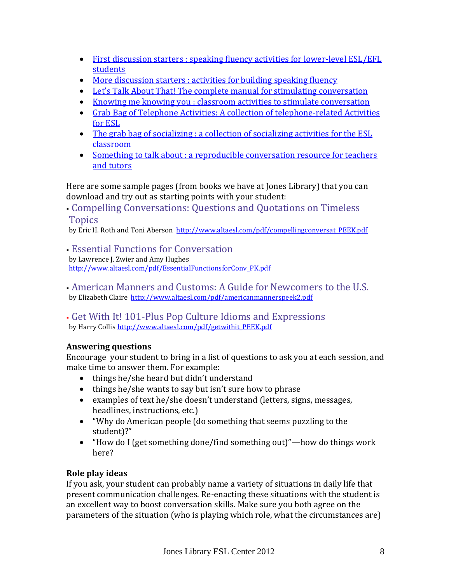- [First discussion starters : speaking fluency activities for lower-level ESL/EFL](http://wmars.cwmars.org/search~S4?/Yesl+conversation&searchscope=4&SORT=D/Yesl+conversation&searchscope=4&SORT=D&SUBKEY=esl%20conversation/1%2C12%2C12%2CB/frameset&FF=Yesl+conversation&searchscope=4&SORT=D&7%2C7%2C)  [students](http://wmars.cwmars.org/search~S4?/Yesl+conversation&searchscope=4&SORT=D/Yesl+conversation&searchscope=4&SORT=D&SUBKEY=esl%20conversation/1%2C12%2C12%2CB/frameset&FF=Yesl+conversation&searchscope=4&SORT=D&7%2C7%2C)
- [More discussion starters : activities for building speaking fluency](http://wmars.cwmars.org/search~S4/t?SEARCH=more+discussion&sortdropdown=-&searchscope=4)
- [Let's Talk About That! The complete manual for stimulating conversation](http://wmars.cwmars.org/search~S4?/Xlet%27s+talk+about+that&searchscope=4&SORT=D/Xlet%27s+talk+about+that&searchscope=4&SORT=D&SUBKEY=let)
- [Knowing me knowing you : classroom activities to stimulate conversation](http://wmars.cwmars.org/search~S4?/tknowing+me/tknowing+me/1%2C2%2C2%2CB/frameset&FF=tknowing+me+knowing+you+classroom+activities+to+develop+learning+strategies+and+stimulate+conver&1%2C1%2C/indexsort=-)
- [Grab Bag of Telephone Activities: A collection of telephone-related Activities](http://wmars.cwmars.org/search~S4?/tgrab+bag/tgrab+bag/1%2C2%2C2%2CB/frameset&FF=tgrab+bag+of+telephone+activities+a+collection+of+telephone+related+activities+for+the+esl+class&1%2C1%2C/indexsort=-)  [for ESL](http://wmars.cwmars.org/search~S4?/tgrab+bag/tgrab+bag/1%2C2%2C2%2CB/frameset&FF=tgrab+bag+of+telephone+activities+a+collection+of+telephone+related+activities+for+the+esl+class&1%2C1%2C/indexsort=-)
- The grab bag of socializing : a collection of socializing activities for the ESL [classroom](http://wmars.cwmars.org/search~S4?/tgrab+bag/tgrab+bag/1%2C2%2C2%2CB/frameset&FF=tgrab+bag+of+socializing+a+collection+of+socializing+activities+for+the+esl+classroom&1%2C1%2C/indexsort=-)
- Something to talk about : a reproducible conversation resource for teachers [and tutors](http://wmars.cwmars.org/search~S4?/tsomething+to+talk/tsomething+to+talk/1%2C2%2C2%2CB/frameset&FF=tsomething+to+talk+about+a+reproducible+conversation+resource+for+teachers+and+tutors&1%2C1%2C/indexsort=-)

Here are some sample pages (from books we have at Jones Library) that you can download and try out as starting points with your student:

 Compelling Conversations: Questions and Quotations on Timeless **Topics** 

by Eric H. Roth and Toni Aberson http://www.altaesl.com/pdf/compellingconversat PEEK.pdf

Essential Functions for Conversation

by Lawrence J. Zwier and Amy Hughes [http://www.altaesl.com/pdf/EssentialFunctionsforConv\\_PK.pdf](http://www.altaesl.com/pdf/EssentialFunctionsforConv_PK.pdf)

 American Manners and Customs: A Guide for Newcomers to the U.S. by Elizabeth Claire <http://www.altaesl.com/pdf/americanmannerspeek2.pdf>

 Get With It! 101-Plus Pop Culture Idioms and Expressions by Harry Collis [http://www.altaesl.com/pdf/getwithit\\_PEEK.pdf](http://www.altaesl.com/pdf/getwithit_PEEK.pdf)

# <span id="page-7-0"></span>**Answering questions**

Encourage your student to bring in a list of questions to ask you at each session, and make time to answer them. For example:

- things he/she heard but didn't understand
- things he/she wants to say but isn't sure how to phrase
- examples of text he/she doesn't understand (letters, signs, messages, headlines, instructions, etc.)
- "Why do American people (do something that seems puzzling to the student)?"
- "How do I (get something done/find something out)"—how do things work here?

# <span id="page-7-1"></span>**Role play ideas**

If you ask, your student can probably name a variety of situations in daily life that present communication challenges. Re-enacting these situations with the student is an excellent way to boost conversation skills. Make sure you both agree on the parameters of the situation (who is playing which role, what the circumstances are)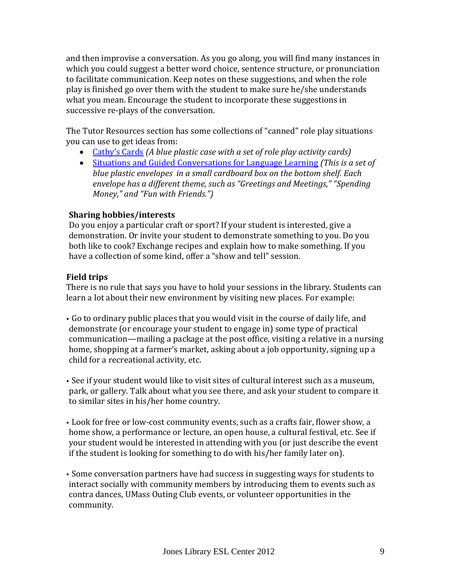and then improvise a conversation. As you go along, you will find many instances in which you could suggest a better word choice, sentence structure, or pronunciation to facilitate communication. Keep notes on these suggestions, and when the role play is finished go over them with the student to make sure he/she understands what you mean. Encourage the student to incorporate these suggestions in successive re-plays of the conversation.

The Tutor Resources section has some collections of "canned" role play situations you can use to get ideas from:

- [Cathy's Cards](http://wmars.cwmars.org/search~S4?/tcathy/tcathy/1%2C9%2C12%2CB/frameset&FF=tcathys+cards&1%2C1%2C/indexsort=-) *(A blue plastic case with a set of role play activity cards)*
- [Situations and Guided Conversations for Language Learning](http://wmars.cwmars.org/search~S4/t?SEARCH=situations+and+guided&sortdropdown=-&searchscope=4) *(This is a set of blue plastic envelopes in a small cardboard box on the bottom shelf. Each envelope has a different theme, such as "Greetings and Meetings," "Spending Money," and "Fun with Friends.")*

# **Sharing hobbies/interests**

Do you enjoy a particular craft or sport? If your student is interested, give a demonstration. Or invite your student to demonstrate something to you. Do you both like to cook? Exchange recipes and explain how to make something. If you have a collection of some kind, offer a "show and tell" session.

# <span id="page-8-0"></span>**Field trips**

There is no rule that says you have to hold your sessions in the library. Students can learn a lot about their new environment by visiting new places. For example:

- Go to ordinary public places that you would visit in the course of daily life, and demonstrate (or encourage your student to engage in) some type of practical communication—mailing a package at the post office, visiting a relative in a nursing home, shopping at a farmer's market, asking about a job opportunity, signing up a child for a recreational activity, etc.
- See if your student would like to visit sites of cultural interest such as a museum, park, or gallery. Talk about what you see there, and ask your student to compare it to similar sites in his/her home country.
- Look for free or low-cost community events, such as a crafts fair, flower show, a home show, a performance or lecture, an open house, a cultural festival, etc. See if your student would be interested in attending with you (or just describe the event if the student is looking for something to do with his/her family later on).
- Some conversation partners have had success in suggesting ways for students to interact socially with community members by introducing them to events such as contra dances, UMass Outing Club events, or volunteer opportunities in the community.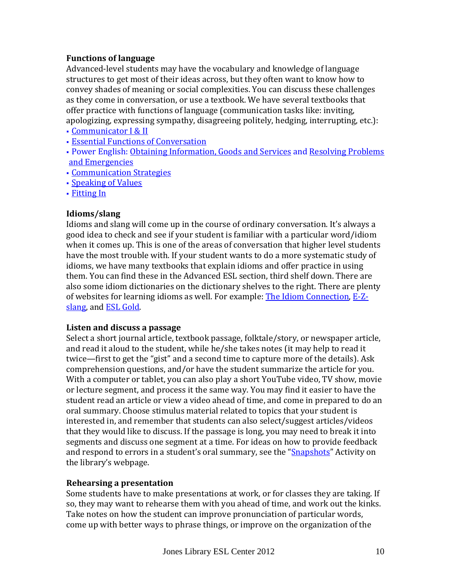# <span id="page-9-0"></span>**Functions of language**

Advanced-level students may have the vocabulary and knowledge of language structures to get most of their ideas across, but they often want to know how to convey shades of meaning or social complexities. You can discuss these challenges as they come in conversation, or use a textbook. We have several textbooks that offer practice with functions of language (communication tasks like: inviting, apologizing, expressing sympathy, disagreeing politely, hedging, interrupting, etc.):

- [Communicator I & II](https://bark.cwmars.org/eg/opac/record/2076382?query=%22communicator%22;qtype=title;locg=153)
- [Essential Functions of Conversation](https://bark.cwmars.org/eg/opac/record/2512583?fi%3Aitem_type=;query=Essential%20functions%20for%20conversation%20%2F;qtype=title;locg=153)
- Power English: [Obtaining Information, Goods and Services](https://bark.cwmars.org/eg/opac/record/2605828?query=Cooper%20Natasha;qtype=author;locg=153) and [Resolving Problems](https://bark.cwmars.org/eg/opac/record/2427886?query=Cooper%20Natasha;qtype=author;locg=153)  [and Emergencies](https://bark.cwmars.org/eg/opac/record/2427886?query=Cooper%20Natasha;qtype=author;locg=153)
- [Communication Strategies](https://bark.cwmars.org/eg/opac/record/2369875?query=Communication%20strategies;qtype=title;locg=153)
- [Speaking of Values](https://bark.cwmars.org/eg/opac/record/704038?query=speaking%20of%20values;qtype=keyword;locg=153)
- [Fitting In](https://bark.cwmars.org/eg/opac/record/1631935?fi%3Aitem_type=;query=Coffey%2C%20Margaret%20Pogemiller.%20creator;qtype=author;locg=153;sort=)

# <span id="page-9-1"></span>**Idioms/slang**

Idioms and slang will come up in the course of ordinary conversation. It's always a good idea to check and see if your student is familiar with a particular word/idiom when it comes up. This is one of the areas of conversation that higher level students have the most trouble with. If your student wants to do a more systematic study of idioms, we have many textbooks that explain idioms and offer practice in using them. You can find these in the Advanced ESL section, third shelf down. There are also some idiom dictionaries on the dictionary shelves to the right. There are plenty of websites for learning idioms as well. For example: [The Idiom Connection,](http://www.idiomconnection.com/) [E-Z](http://www.ezslang.com/)[slang,](http://www.ezslang.com/) and **ESL Gold**.

# <span id="page-9-2"></span>**Listen and discuss a passage**

Select a short journal article, textbook passage, folktale/story, or newspaper article, and read it aloud to the student, while he/she takes notes (it may help to read it twice—first to get the "gist" and a second time to capture more of the details). Ask comprehension questions, and/or have the student summarize the article for you. With a computer or tablet, you can also play a short YouTube video, TV show, movie or lecture segment, and process it the same way. You may find it easier to have the student read an article or view a video ahead of time, and come in prepared to do an oral summary. Choose stimulus material related to topics that your student is interested in, and remember that students can also select/suggest articles/videos that they would like to discuss. If the passage is long, you may need to break it into segments and discuss one segment at a time. For ideas on how to provide feedback and respond to errors in a student's oral summary, see the "**[Snapshots](http://www.joneslibrary.org/esl/tutors/snapshots.html)**" Activity on the library's webpage.

# <span id="page-9-3"></span>**Rehearsing a presentation**

Some students have to make presentations at work, or for classes they are taking. If so, they may want to rehearse them with you ahead of time, and work out the kinks. Take notes on how the student can improve pronunciation of particular words, come up with better ways to phrase things, or improve on the organization of the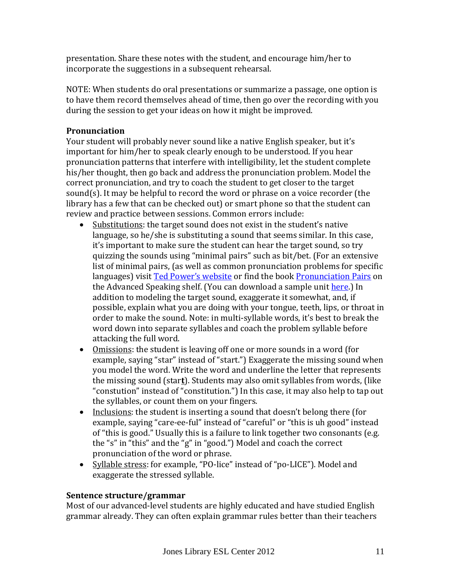presentation. Share these notes with the student, and encourage him/her to incorporate the suggestions in a subsequent rehearsal.

NOTE: When students do oral presentations or summarize a passage, one option is to have them record themselves ahead of time, then go over the recording with you during the session to get your ideas on how it might be improved.

# <span id="page-10-0"></span>**Pronunciation**

Your student will probably never sound like a native English speaker, but it's important for him/her to speak clearly enough to be understood. If you hear pronunciation patterns that interfere with intelligibility, let the student complete his/her thought, then go back and address the pronunciation problem. Model the correct pronunciation, and try to coach the student to get closer to the target sound(s). It may be helpful to record the word or phrase on a voice recorder (the library has a few that can be checked out) or smart phone so that the student can review and practice between sessions. Common errors include:

- Substitutions: the target sound does not exist in the student's native language, so he/she is substituting a sound that seems similar. In this case, it's important to make sure the student can hear the target sound, so try quizzing the sounds using "minimal pairs" such as bit/bet. (For an extensive list of minimal pairs, (as well as common pronunciation problems for specific languages) visit [Ted Power's website](http://www.btinternet.com/~ted.power/l1all.html) or find the book [Pronunciation Pairs](https://bark.cwmars.org/eg/opac/record/2647299?fi%3Aitem_type=a;query=pronunciation%20pairs;qtype=keyword;locg=153) on the Advanced Speaking shelf. (You can download a sample unit [here.](http://www.cambridge.org/other_files/downloads/esl/pronunciationpairs2e/PronPairs-SB-Unit2.pdf)) In addition to modeling the target sound, exaggerate it somewhat, and, if possible, explain what you are doing with your tongue, teeth, lips, or throat in order to make the sound. Note: in multi-syllable words, it's best to break the word down into separate syllables and coach the problem syllable before attacking the full word.
- Omissions: the student is leaving off one or more sounds in a word (for example, saying "star" instead of "start.") Exaggerate the missing sound when you model the word. Write the word and underline the letter that represents the missing sound (star**t**). Students may also omit syllables from words, (like "constution" instead of "constitution.") In this case, it may also help to tap out the syllables, or count them on your fingers.
- Inclusions: the student is inserting a sound that doesn't belong there (for example, saying "care-ee-ful" instead of "careful" or "this is uh good" instead of "this is good." Usually this is a failure to link together two consonants (e.g. the "s" in "this" and the "g" in "good.") Model and coach the correct pronunciation of the word or phrase.
- Syllable stress: for example, "PO-lice" instead of "po-LICE"). Model and exaggerate the stressed syllable.

# **Sentence structure/grammar**

Most of our advanced-level students are highly educated and have studied English grammar already. They can often explain grammar rules better than their teachers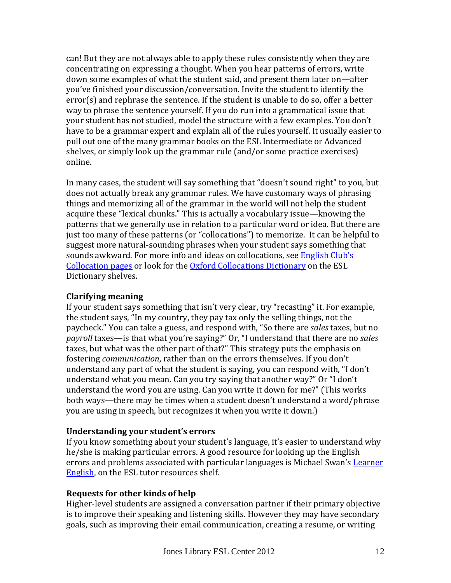can! But they are not always able to apply these rules consistently when they are concentrating on expressing a thought. When you hear patterns of errors, write down some examples of what the student said, and present them later on—after you've finished your discussion/conversation. Invite the student to identify the error(s) and rephrase the sentence. If the student is unable to do so, offer a better way to phrase the sentence yourself. If you do run into a grammatical issue that your student has not studied, model the structure with a few examples. You don't have to be a grammar expert and explain all of the rules yourself. It usually easier to pull out one of the many grammar books on the ESL Intermediate or Advanced shelves, or simply look up the grammar rule (and/or some practice exercises) online.

In many cases, the student will say something that "doesn't sound right" to you, but does not actually break any grammar rules. We have customary ways of phrasing things and memorizing all of the grammar in the world will not help the student acquire these "lexical chunks." This is actually a vocabulary issue—knowing the patterns that we generally use in relation to a particular word or idea. But there are just too many of these patterns (or "collocations") to memorize. It can be helpful to suggest more natural-sounding phrases when your student says something that sounds awkward. For more info and ideas on collocations, see **English Club's** [Collocation pages](http://www.englishclub.com/vocabulary/collocations.htm) or look for the [Oxford Collocations Dictionary](https://bark.cwmars.org/eg/opac/record/2295818?fi%3Aitem_type=;query=Oxford%20collocations%20dictionary%20%3A%20for%20students%20of%20English;qtype=title;locg=153) on the ESL Dictionary shelves.

# <span id="page-11-0"></span>**Clarifying meaning**

If your student says something that isn't very clear, try "recasting" it. For example, the student says, "In my country, they pay tax only the selling things, not the paycheck." You can take a guess, and respond with, "So there are *sales* taxes, but no *payroll* taxes—is that what you're saying?" Or, "I understand that there are no *sales* taxes, but what was the other part of that?" This strategy puts the emphasis on fostering *communication*, rather than on the errors themselves. If you don't understand any part of what the student is saying, you can respond with, "I don't understand what you mean. Can you try saying that another way?" Or "I don't understand the word you are using. Can you write it down for me?" (This works both ways—there may be times when a student doesn't understand a word/phrase you are using in speech, but recognizes it when you write it down.)

# <span id="page-11-1"></span>**Understanding your student's errors**

If you know something about your student's language, it's easier to understand why he/she is making particular errors. A good resource for looking up the English errors and problems associated with particular languages is Michael Swan's Learner [English,](https://bark.cwmars.org/eg/opac/record/2528324?query=learner%20english;qtype=title;locg=153) on the ESL tutor resources shelf.

# <span id="page-11-2"></span>**Requests for other kinds of help**

Higher-level students are assigned a conversation partner if their primary objective is to improve their speaking and listening skills. However they may have secondary goals, such as improving their email communication, creating a resume, or writing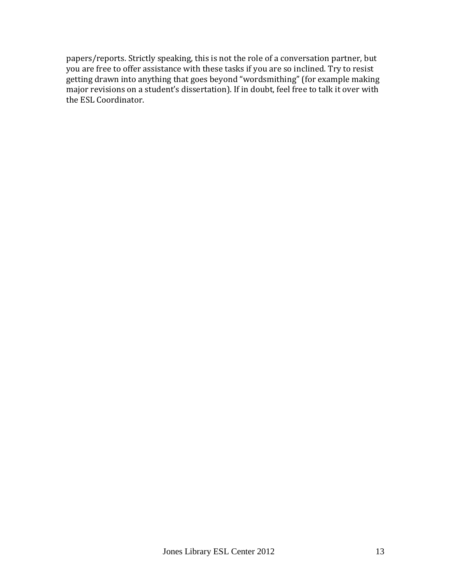papers/reports. Strictly speaking, this is not the role of a conversation partner, but you are free to offer assistance with these tasks if you are so inclined. Try to resist getting drawn into anything that goes beyond "wordsmithing" (for example making major revisions on a student's dissertation). If in doubt, feel free to talk it over with the ESL Coordinator.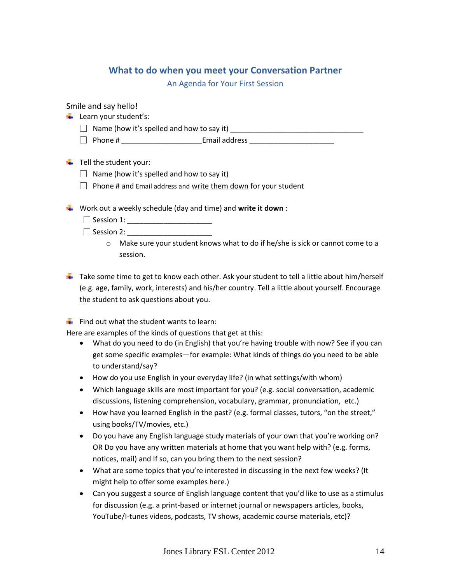# **What to do when you meet your Conversation Partner**

An Agenda for Your First Session

<span id="page-13-0"></span>Smile and say hello!

- $\frac{1}{\sqrt{2}}$  Learn your student's:
	- Name (how it's spelled and how to say it) \_\_\_\_\_\_\_\_\_\_\_\_\_\_\_\_\_\_\_\_\_\_\_\_\_\_\_\_\_\_\_\_\_
	- Phone # \_\_\_\_\_\_\_\_\_\_\_\_\_\_\_\_\_\_\_\_Email address \_\_\_\_\_\_\_\_\_\_\_\_\_\_\_\_\_\_\_\_\_

 $\ddot{\bullet}$  Tell the student your:

- $\Box$  Name (how it's spelled and how to say it)
- $\Box$  Phone # and Email address and write them down for your student

Work out a weekly schedule (day and time) and **write it down** :

Session 1: \_\_\_\_\_\_\_\_\_\_\_\_\_\_\_\_\_\_\_\_\_

 $\Box$  Session 2:

o Make sure your student knows what to do if he/she is sick or cannot come to a session.

 $\ddot{\phantom{1}}$  Take some time to get to know each other. Ask your student to tell a little about him/herself (e.g. age, family, work, interests) and his/her country. Tell a little about yourself. Encourage the student to ask questions about you.

 $\frac{1}{\sqrt{2}}$  Find out what the student wants to learn:

Here are examples of the kinds of questions that get at this:

- What do you need to do (in English) that you're having trouble with now? See if you can get some specific examples—for example: What kinds of things do you need to be able to understand/say?
- How do you use English in your everyday life? (in what settings/with whom)
- Which language skills are most important for you? (e.g. social conversation, academic discussions, listening comprehension, vocabulary, grammar, pronunciation, etc.)
- How have you learned English in the past? (e.g. formal classes, tutors, "on the street," using books/TV/movies, etc.)
- Do you have any English language study materials of your own that you're working on? OR Do you have any written materials at home that you want help with? (e.g. forms, notices, mail) and If so, can you bring them to the next session?
- What are some topics that you're interested in discussing in the next few weeks? (It might help to offer some examples here.)
- Can you suggest a source of English language content that you'd like to use as a stimulus for discussion (e.g. a print-based or internet journal or newspapers articles, books, YouTube/I-tunes videos, podcasts, TV shows, academic course materials, etc)?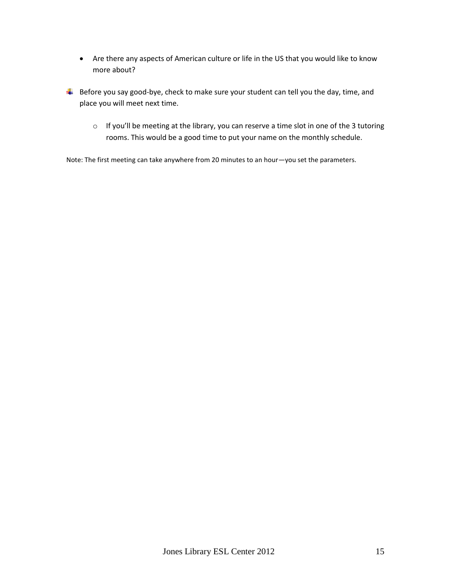- Are there any aspects of American culture or life in the US that you would like to know more about?
- $\downarrow$  Before you say good-bye, check to make sure your student can tell you the day, time, and place you will meet next time.
	- o If you'll be meeting at the library, you can reserve a time slot in one of the 3 tutoring rooms. This would be a good time to put your name on the monthly schedule.

Note: The first meeting can take anywhere from 20 minutes to an hour—you set the parameters.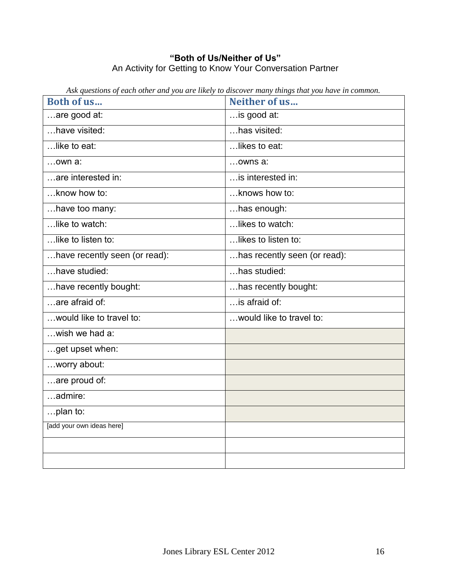# **"Both of Us/Neither of Us"** An Activity for Getting to Know Your Conversation Partner

| Neither of us                |
|------------------------------|
| is good at:                  |
| has visited:                 |
| likes to eat:                |
| owns a:                      |
| is interested in:            |
| knows how to:                |
| has enough:                  |
| likes to watch:              |
| likes to listen to:          |
| has recently seen (or read): |
| $$ has studied:              |
| has recently bought:         |
| is afraid of:                |
| would like to travel to:     |
|                              |
|                              |
|                              |
|                              |
|                              |
|                              |
|                              |
|                              |
|                              |
|                              |

<span id="page-15-0"></span>*Ask questions of each other and you are likely to discover many things that you have in common.*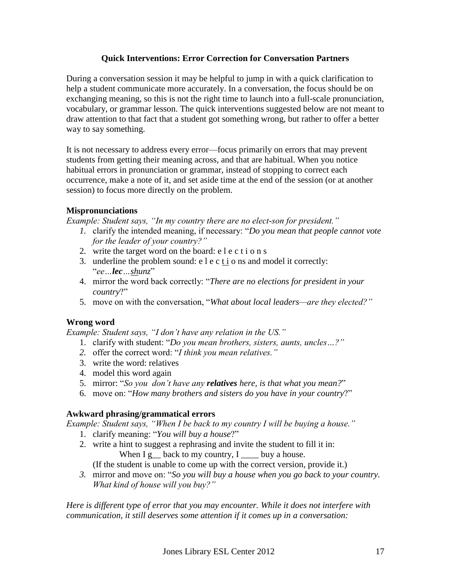# **Quick Interventions: Error Correction for Conversation Partners**

<span id="page-16-0"></span>During a conversation session it may be helpful to jump in with a quick clarification to help a student communicate more accurately. In a conversation, the focus should be on exchanging meaning, so this is not the right time to launch into a full-scale pronunciation, vocabulary, or grammar lesson. The quick interventions suggested below are not meant to draw attention to that fact that a student got something wrong, but rather to offer a better way to say something.

It is not necessary to address every error—focus primarily on errors that may prevent students from getting their meaning across, and that are habitual. When you notice habitual errors in pronunciation or grammar, instead of stopping to correct each occurrence, make a note of it, and set aside time at the end of the session (or at another session) to focus more directly on the problem.

# **Mispronunciations**

*Example: Student says, "In my country there are no elect-son for president."*

- *1.* clarify the intended meaning, if necessary: "*Do you mean that people cannot vote for the leader of your country?"*
- 2. write the target word on the board: e l e c t i o n s
- 3. underline the problem sound: e l e c t i o ns and model it correctly: "*ee…lec…shunz*"
- 4. mirror the word back correctly: "*There are no elections for president in your country*?"
- 5. move on with the conversation, "*What about local leaders—are they elected?"*

# **Wrong word**

*Example: Student says, "I don't have any relation in the US."*

- 1. clarify with student: "*Do you mean brothers, sisters, aunts, uncles…?"*
- *2.* offer the correct word: "*I think you mean relatives."*
- 3. write the word: relatives
- 4. model this word again
- 5. mirror: "*So you don't have any relatives here, is that what you mean?*"
- 6. move on: "*How many brothers and sisters do you have in your country*?"

# **Awkward phrasing/grammatical errors**

*Example: Student says, "When I be back to my country I will be buying a house."* 

- 1. clarify meaning: "*You will buy a house*?"
- 2. write a hint to suggest a rephrasing and invite the student to fill it in: When  $I g$  back to my country,  $I$  \_\_\_\_ buy a house.

(If the student is unable to come up with the correct version, provide it.)

*3.* mirror and move on: "*So you will buy a house when you go back to your country. What kind of house will you buy?"*

*Here is different type of error that you may encounter. While it does not interfere with communication, it still deserves some attention if it comes up in a conversation:*